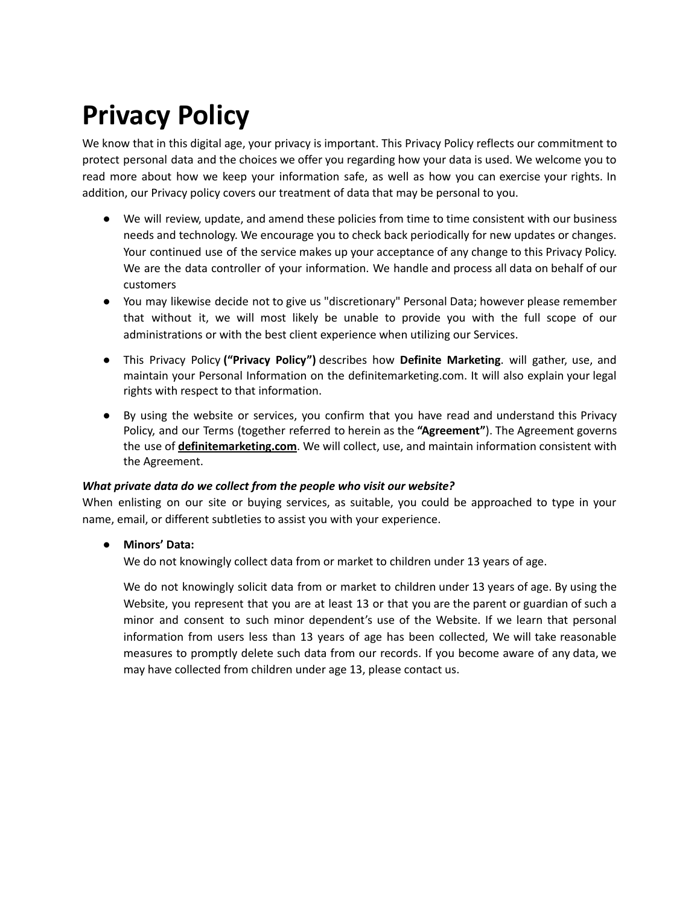# **Privacy Policy**

We know that in this digital age, your privacy is important. This Privacy Policy reflects our commitment to protect personal data and the choices we offer you regarding how your data is used. We welcome you to read more about how we keep your information safe, as well as how you can exercise your rights. In addition, our Privacy policy covers our treatment of data that may be personal to you.

- We will review, update, and amend these policies from time to time consistent with our business needs and technology. We encourage you to check back periodically for new updates or changes. Your continued use of the service makes up your acceptance of any change to this Privacy Policy. We are the data controller of your information. We handle and process all data on behalf of our customers
- You may likewise decide not to give us "discretionary" Personal Data; however please remember that without it, we will most likely be unable to provide you with the full scope of our administrations or with the best client experience when utilizing our Services.
- This Privacy Policy **("Privacy Policy")** describes how **Definite Marketing**. will gather, use, and maintain your Personal Information on the definitemarketing.com. It will also explain your legal rights with respect to that information.
- By using the website or services, you confirm that you have read and understand this Privacy Policy, and our Terms (together referred to herein as the **"Agreement"**). The Agreement governs the use of **[definitemarketing.com](https://www.definitemarketing.com/)**. We will collect, use, and maintain information consistent with the Agreement.

# *What private data do we collect from the people who visit our website?*

When enlisting on our site or buying services, as suitable, you could be approached to type in your name, email, or different subtleties to assist you with your experience.

# **● Minors' Data:**

We do not knowingly collect data from or market to children under 13 years of age.

We do not knowingly solicit data from or market to children under 13 years of age. By using the Website, you represent that you are at least 13 or that you are the parent or guardian of such a minor and consent to such minor dependent's use of the Website. If we learn that personal information from users less than 13 years of age has been collected, We will take reasonable measures to promptly delete such data from our records. If you become aware of any data, we may have collected from children under age 13, please contact us.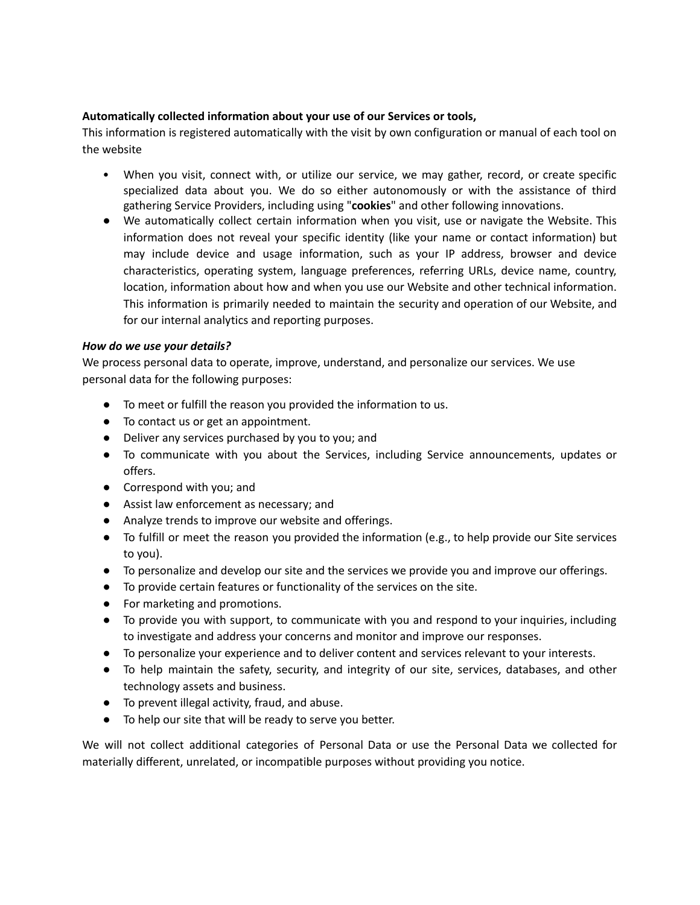# **Automatically collected information about your use of our Services or tools,**

This information is registered automatically with the visit by own configuration or manual of each tool on the website

- When you visit, connect with, or utilize our service, we may gather, record, or create specific specialized data about you. We do so either autonomously or with the assistance of third gathering Service Providers, including using "**cookies**" and other following innovations.
- We automatically collect certain information when you visit, use or navigate the Website. This information does not reveal your specific identity (like your name or contact information) but may include device and usage information, such as your IP address, browser and device characteristics, operating system, language preferences, referring URLs, device name, country, location, information about how and when you use our Website and other technical information. This information is primarily needed to maintain the security and operation of our Website, and for our internal analytics and reporting purposes.

# *How do we use your details?*

We process personal data to operate, improve, understand, and personalize our services. We use personal data for the following purposes:

- To meet or fulfill the reason you provided the information to us.
- To contact us or get an appointment.
- Deliver any services purchased by you to you; and
- To communicate with you about the Services, including Service announcements, updates or offers.
- Correspond with you; and
- Assist law enforcement as necessary; and
- Analyze trends to improve our website and offerings.
- To fulfill or meet the reason you provided the information (e.g., to help provide our Site services to you).
- To personalize and develop our site and the services we provide you and improve our offerings.
- To provide certain features or functionality of the services on the site.
- For marketing and promotions.
- To provide you with support, to communicate with you and respond to your inquiries, including to investigate and address your concerns and monitor and improve our responses.
- To personalize your experience and to deliver content and services relevant to your interests.
- To help maintain the safety, security, and integrity of our site, services, databases, and other technology assets and business.
- To prevent illegal activity, fraud, and abuse.
- To help our site that will be ready to serve you better.

We will not collect additional categories of Personal Data or use the Personal Data we collected for materially different, unrelated, or incompatible purposes without providing you notice.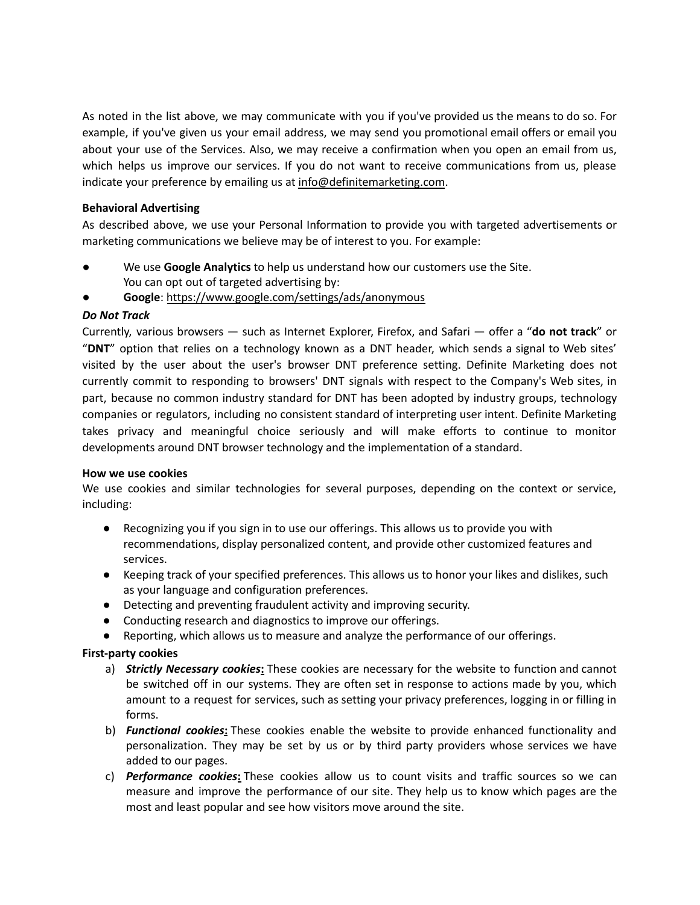As noted in the list above, we may communicate with you if you've provided us the means to do so. For example, if you've given us your email address, we may send you promotional email offers or email you about your use of the Services. Also, we may receive a confirmation when you open an email from us, which helps us improve our services. If you do not want to receive communications from us, please indicate your preference by emailing us at [info@definitemarketing.com](mailto:info@definitemarketing.com).

# **Behavioral Advertising**

As described above, we use your Personal Information to provide you with targeted advertisements or marketing communications we believe may be of interest to you. For example:

- We use Google Analytics to help us understand how our customers use the Site. You can opt out of targeted advertising by:
- **Google**: <https://www.google.com/settings/ads/anonymous>

# *Do Not Track*

Currently, various browsers — such as Internet Explorer, Firefox, and Safari — offer a "**do not track**" or "**DNT**" option that relies on a technology known as a DNT header, which sends a signal to Web sites' visited by the user about the user's browser DNT preference setting. Definite Marketing does not currently commit to responding to browsers' DNT signals with respect to the Company's Web sites, in part, because no common industry standard for DNT has been adopted by industry groups, technology companies or regulators, including no consistent standard of interpreting user intent. Definite Marketing takes privacy and meaningful choice seriously and will make efforts to continue to monitor developments around DNT browser technology and the implementation of a standard.

## **How we use cookies**

We use cookies and similar technologies for several purposes, depending on the context or service, including:

- Recognizing you if you sign in to use our offerings. This allows us to provide you with recommendations, display personalized content, and provide other customized features and services.
- Keeping track of your specified preferences. This allows us to honor your likes and dislikes, such as your language and configuration preferences.
- Detecting and preventing fraudulent activity and improving security.
- Conducting research and diagnostics to improve our offerings.
- Reporting, which allows us to measure and analyze the performance of our offerings.

## **First-party cookies**

- a) *Strictly Necessary cookies***:** These cookies are necessary for the website to function and cannot be switched off in our systems. They are often set in response to actions made by you, which amount to a request for services, such as setting your privacy preferences, logging in or filling in forms.
- b) *Functional cookies***:** These cookies enable the website to provide enhanced functionality and personalization. They may be set by us or by third party providers whose services we have added to our pages.
- c) *Performance cookies***:** These cookies allow us to count visits and traffic sources so we can measure and improve the performance of our site. They help us to know which pages are the most and least popular and see how visitors move around the site.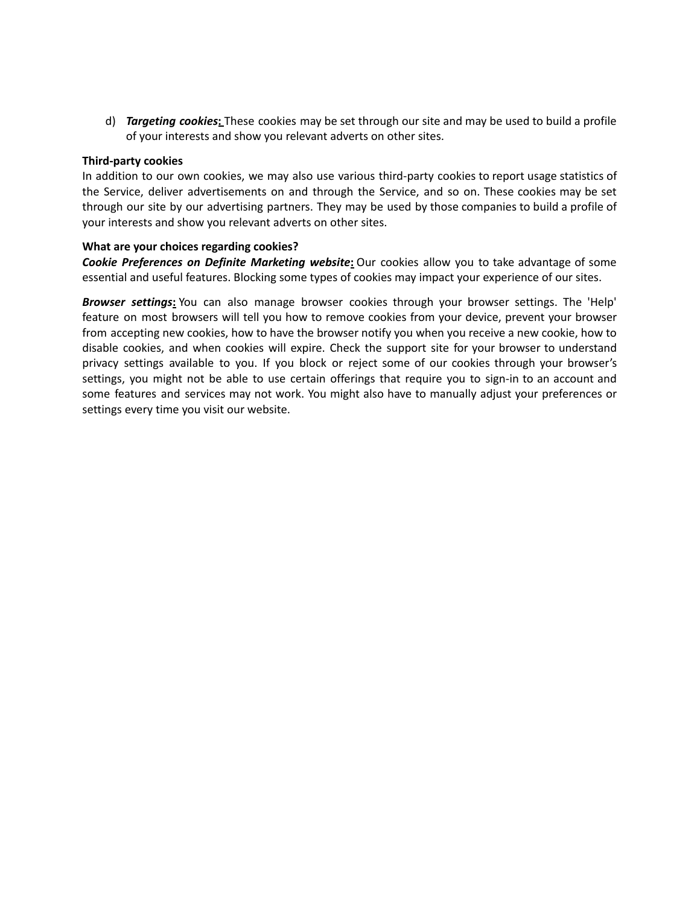d) *Targeting cookies***:** These cookies may be set through our site and may be used to build a profile of your interests and show you relevant adverts on other sites.

### **Third-party cookies**

In addition to our own cookies, we may also use various third-party cookies to report usage statistics of the Service, deliver advertisements on and through the Service, and so on. These cookies may be set through our site by our advertising partners. They may be used by those companies to build a profile of your interests and show you relevant adverts on other sites.

### **What are your choices regarding cookies?**

*Cookie Preferences on Definite Marketing website***:** Our cookies allow you to take advantage of some essential and useful features. Blocking some types of cookies may impact your experience of our sites.

*Browser settings***:** You can also manage browser cookies through your browser settings. The 'Help' feature on most browsers will tell you how to remove cookies from your device, prevent your browser from accepting new cookies, how to have the browser notify you when you receive a new cookie, how to disable cookies, and when cookies will expire. Check the support site for your browser to understand privacy settings available to you. If you block or reject some of our cookies through your browser's settings, you might not be able to use certain offerings that require you to sign-in to an account and some features and services may not work. You might also have to manually adjust your preferences or settings every time you visit our website.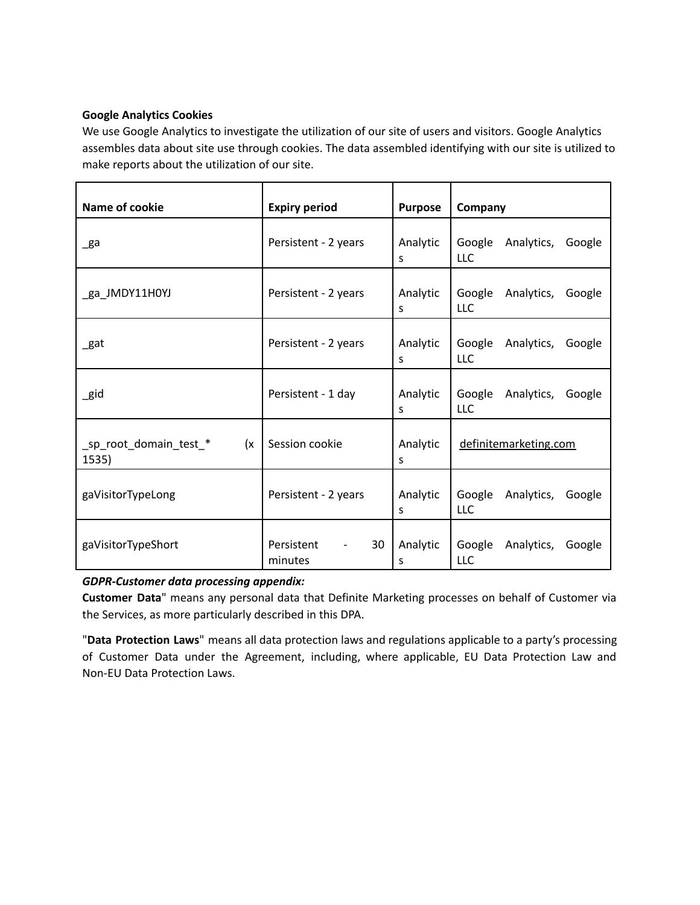# **Google Analytics Cookies**

We use Google Analytics to investigate the utilization of our site of users and visitors. Google Analytics assembles data about site use through cookies. The data assembled identifying with our site is utilized to make reports about the utilization of our site.

| Name of cookie                        | <b>Expiry period</b>        | <b>Purpose</b> | Company                                      |
|---------------------------------------|-----------------------------|----------------|----------------------------------------------|
| _ga                                   | Persistent - 2 years        | Analytic<br>S  | Google<br>Analytics,<br>Google<br><b>LLC</b> |
| _ga_JMDY11H0YJ                        | Persistent - 2 years        | Analytic<br>S  | Google<br>Analytics,<br>Google<br><b>LLC</b> |
| _gat                                  | Persistent - 2 years        | Analytic<br>S  | Google<br>Analytics,<br>Google<br><b>LLC</b> |
| $\_$ gid                              | Persistent - 1 day          | Analytic<br>S  | Google<br>Analytics,<br>Google<br><b>LLC</b> |
| _sp_root_domain_test_*<br>(x<br>1535) | Session cookie              | Analytic<br>S  | definitemarketing.com                        |
| gaVisitorTypeLong                     | Persistent - 2 years        | Analytic<br>S  | Google<br>Analytics,<br>Google<br><b>LLC</b> |
| gaVisitorTypeShort                    | Persistent<br>30<br>minutes | Analytic<br>S  | Google<br>Analytics,<br>Google<br>LLC        |

*GDPR-Customer data processing appendix:*

**Customer Data**" means any personal data that Definite Marketing processes on behalf of Customer via the Services, as more particularly described in this DPA.

"**Data Protection Laws**" means all data protection laws and regulations applicable to a party's processing of Customer Data under the Agreement, including, where applicable, EU Data Protection Law and Non-EU Data Protection Laws.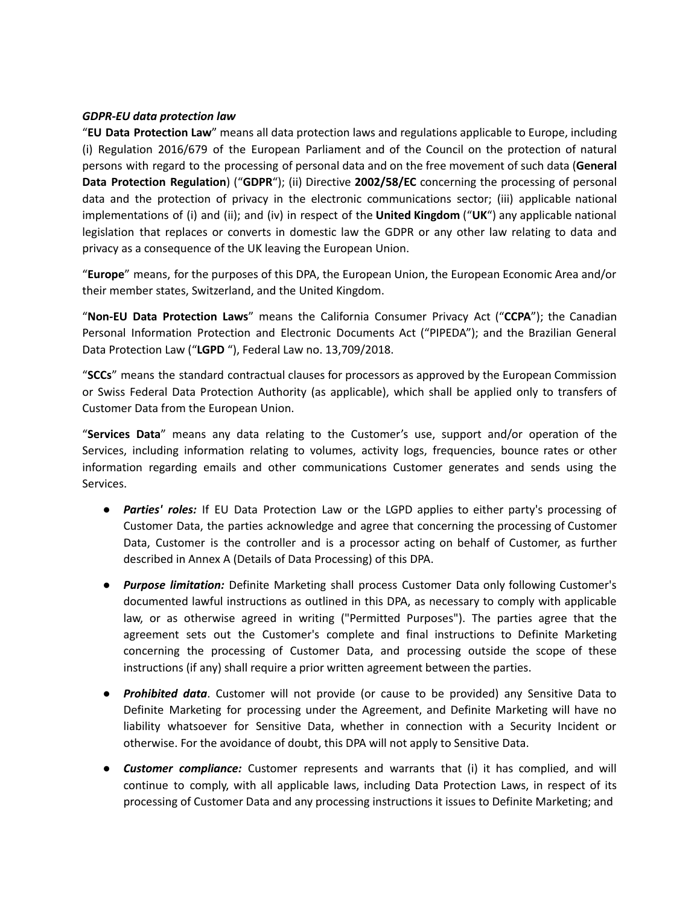### *GDPR-EU data protection law*

"**EU Data Protection Law**" means all data protection laws and regulations applicable to Europe, including (i) Regulation 2016/679 of the European Parliament and of the Council on the protection of natural persons with regard to the processing of personal data and on the free movement of such data (**General Data Protection Regulation**) ("**GDPR**"); (ii) Directive **2002/58/EC** concerning the processing of personal data and the protection of privacy in the electronic communications sector; (iii) applicable national implementations of (i) and (ii); and (iv) in respect of the **United Kingdom** ("**UK**") any applicable national legislation that replaces or converts in domestic law the GDPR or any other law relating to data and privacy as a consequence of the UK leaving the European Union.

"**Europe**" means, for the purposes of this DPA, the European Union, the European Economic Area and/or their member states, Switzerland, and the United Kingdom.

"**Non-EU Data Protection Laws**" means the California Consumer Privacy Act ("**CCPA**"); the Canadian Personal Information Protection and Electronic Documents Act ("PIPEDA"); and the Brazilian General Data Protection Law ("**LGPD** "), Federal Law no. 13,709/2018.

"**SCCs**" means the standard contractual clauses for processors as approved by the European Commission or Swiss Federal Data Protection Authority (as applicable), which shall be applied only to transfers of Customer Data from the European Union.

"**Services Data**" means any data relating to the Customer's use, support and/or operation of the Services, including information relating to volumes, activity logs, frequencies, bounce rates or other information regarding emails and other communications Customer generates and sends using the Services.

- *Parties' roles:* If EU Data Protection Law or the LGPD applies to either party's processing of Customer Data, the parties acknowledge and agree that concerning the processing of Customer Data, Customer is the controller and is a processor acting on behalf of Customer, as further described in Annex A (Details of Data Processing) of this DPA.
- *Purpose limitation:* Definite Marketing shall process Customer Data only following Customer's documented lawful instructions as outlined in this DPA, as necessary to comply with applicable law, or as otherwise agreed in writing ("Permitted Purposes"). The parties agree that the agreement sets out the Customer's complete and final instructions to Definite Marketing concerning the processing of Customer Data, and processing outside the scope of these instructions (if any) shall require a prior written agreement between the parties.
- *Prohibited data*. Customer will not provide (or cause to be provided) any Sensitive Data to Definite Marketing for processing under the Agreement, and Definite Marketing will have no liability whatsoever for Sensitive Data, whether in connection with a Security Incident or otherwise. For the avoidance of doubt, this DPA will not apply to Sensitive Data.
- *Customer compliance:* Customer represents and warrants that (i) it has complied, and will continue to comply, with all applicable laws, including Data Protection Laws, in respect of its processing of Customer Data and any processing instructions it issues to Definite Marketing; and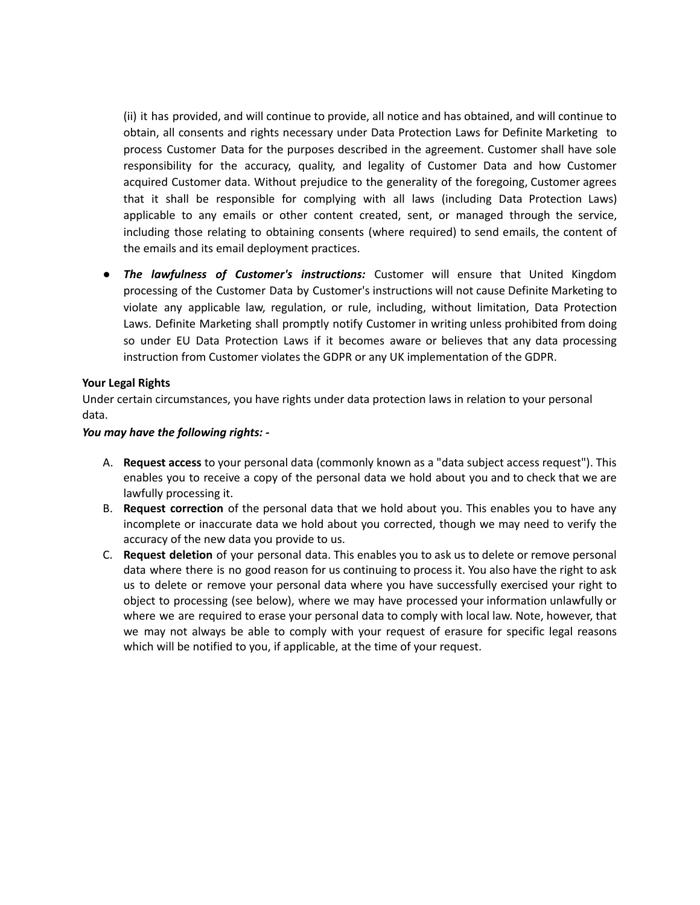(ii) it has provided, and will continue to provide, all notice and has obtained, and will continue to obtain, all consents and rights necessary under Data Protection Laws for Definite Marketing to process Customer Data for the purposes described in the agreement. Customer shall have sole responsibility for the accuracy, quality, and legality of Customer Data and how Customer acquired Customer data. Without prejudice to the generality of the foregoing, Customer agrees that it shall be responsible for complying with all laws (including Data Protection Laws) applicable to any emails or other content created, sent, or managed through the service, including those relating to obtaining consents (where required) to send emails, the content of the emails and its email deployment practices.

● *The lawfulness of Customer's instructions:* Customer will ensure that United Kingdom processing of the Customer Data by Customer's instructions will not cause Definite Marketing to violate any applicable law, regulation, or rule, including, without limitation, Data Protection Laws. Definite Marketing shall promptly notify Customer in writing unless prohibited from doing so under EU Data Protection Laws if it becomes aware or believes that any data processing instruction from Customer violates the GDPR or any UK implementation of the GDPR.

## **Your Legal Rights**

Under certain circumstances, you have rights under data protection laws in relation to your personal data.

### *You may have the following rights: -*

- A. **Request access** to your personal data (commonly known as a "data subject access request"). This enables you to receive a copy of the personal data we hold about you and to check that we are lawfully processing it.
- B. **Request correction** of the personal data that we hold about you. This enables you to have any incomplete or inaccurate data we hold about you corrected, though we may need to verify the accuracy of the new data you provide to us.
- C. **Request deletion** of your personal data. This enables you to ask us to delete or remove personal data where there is no good reason for us continuing to process it. You also have the right to ask us to delete or remove your personal data where you have successfully exercised your right to object to processing (see below), where we may have processed your information unlawfully or where we are required to erase your personal data to comply with local law. Note, however, that we may not always be able to comply with your request of erasure for specific legal reasons which will be notified to you, if applicable, at the time of your request.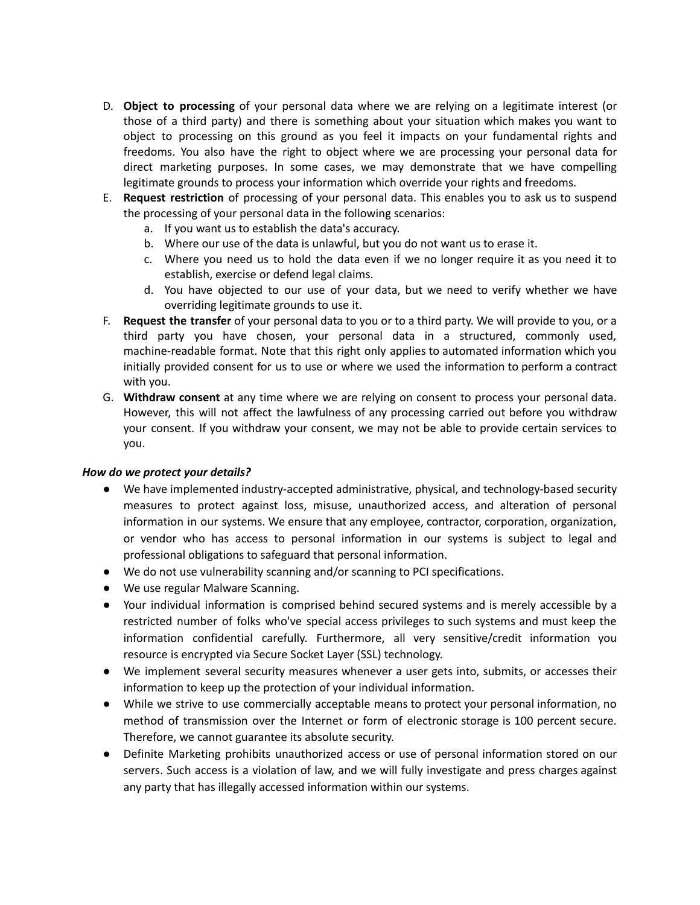- D. **Object to processing** of your personal data where we are relying on a legitimate interest (or those of a third party) and there is something about your situation which makes you want to object to processing on this ground as you feel it impacts on your fundamental rights and freedoms. You also have the right to object where we are processing your personal data for direct marketing purposes. In some cases, we may demonstrate that we have compelling legitimate grounds to process your information which override your rights and freedoms.
- E. **Request restriction** of processing of your personal data. This enables you to ask us to suspend the processing of your personal data in the following scenarios:
	- a. If you want us to establish the data's accuracy.
	- b. Where our use of the data is unlawful, but you do not want us to erase it.
	- c. Where you need us to hold the data even if we no longer require it as you need it to establish, exercise or defend legal claims.
	- d. You have objected to our use of your data, but we need to verify whether we have overriding legitimate grounds to use it.
- F. **Request the transfer** of your personal data to you or to a third party. We will provide to you, or a third party you have chosen, your personal data in a structured, commonly used, machine-readable format. Note that this right only applies to automated information which you initially provided consent for us to use or where we used the information to perform a contract with you.
- G. **Withdraw consent** at any time where we are relying on consent to process your personal data. However, this will not affect the lawfulness of any processing carried out before you withdraw your consent. If you withdraw your consent, we may not be able to provide certain services to you.

## *How do we protect your details?*

- We have implemented industry-accepted administrative, physical, and technology-based security measures to protect against loss, misuse, unauthorized access, and alteration of personal information in our systems. We ensure that any employee, contractor, corporation, organization, or vendor who has access to personal information in our systems is subject to legal and professional obligations to safeguard that personal information.
- We do not use vulnerability scanning and/or scanning to PCI specifications.
- We use regular Malware Scanning.
- Your individual information is comprised behind secured systems and is merely accessible by a restricted number of folks who've special access privileges to such systems and must keep the information confidential carefully. Furthermore, all very sensitive/credit information you resource is encrypted via Secure Socket Layer (SSL) technology.
- We implement several security measures whenever a user gets into, submits, or accesses their information to keep up the protection of your individual information.
- While we strive to use commercially acceptable means to protect your personal information, no method of transmission over the Internet or form of electronic storage is 100 percent secure. Therefore, we cannot guarantee its absolute security.
- Definite Marketing prohibits unauthorized access or use of personal information stored on our servers. Such access is a violation of law, and we will fully investigate and press charges against any party that has illegally accessed information within our systems.